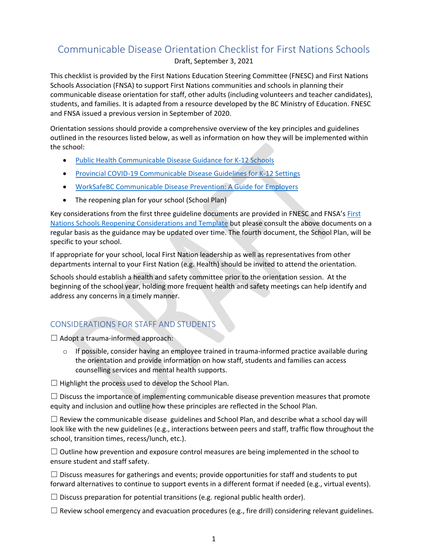## Communicable Disease Orientation Checklist for First Nations Schools

Draft, September 3, 2021

This checklist is provided by the First Nations Education Steering Committee (FNESC) and First Nations Schools Association (FNSA) to support First Nations communities and schools in planning their communicable disease orientation for staff, other adults (including volunteers and teacher candidates), students, and families. It is adapted from a resource developed by the BC Ministry of Education. FNESC and FNSA issued a previous version in September of 2020.

Orientation sessions should provide a comprehensive overview of the key principles and guidelines outlined in the resources listed below, as well as information on how they will be implemented within the school:

- [Public Health Communicable Disease Guidance for K-12 Schools](http://www.bccdc.ca/Health-Info-Site/Documents/COVID_public_guidance/Guidance-k-12-schools.pdf)
- Provincial COVID-19 Communicable [Disease Guidelines for K-12 Settings](https://www2.gov.bc.ca/assets/gov/education/administration/kindergarten-to-grade-12/safe-caring-orderly/k-12-covid-19-health-safety-guidlines.pdf)
- [WorkSafeBC Communicable Disease Prevention: A Guide for Employers](https://www.worksafebc.com/en/resources/health-safety/books-guides/communicable-disease-prevention-guide-employers)
- The reopening plan for your school (School Plan)

Key considerations from the first three guideline documents are provided in FNESC and FNSA's First Nations [Schools Reopening Considerations and Template](http://www.fnesc.ca/reopening-considerations-and-template/) but please consult the above documents on a regular basis as the guidance may be updated over time. The fourth document, the School Plan, will be specific to your school.

If appropriate for your school, local First Nation leadership as well as representatives from other departments internal to your First Nation (e.g. Health) should be invited to attend the orientation.

Schools should establish a health and safety committee prior to the orientation session. At the beginning of the school year, holding more frequent health and safety meetings can help identify and address any concerns in a timely manner.

## CONSIDERATIONS FOR STAFF AND STUDENTS

 $\Box$  Adopt a trauma-informed approach:

 $\circ$  If possible, consider having an employee trained in trauma-informed practice available during the orientation and provide information on how staff, students and families can access counselling services and mental health supports.

 $\Box$  Highlight the process used to develop the School Plan.

 $\Box$  Discuss the importance of implementing communicable disease prevention measures that promote equity and inclusion and outline how these principles are reflected in the School Plan.

 $\Box$  Review the communicable disease guidelines and School Plan, and describe what a school day will look like with the new guidelines (e.g., interactions between peers and staff, traffic flow throughout the school, transition times, recess/lunch, etc.).

 $\Box$  Outline how prevention and exposure control measures are being implemented in the school to ensure student and staff safety.

 $\Box$  Discuss measures for gatherings and events; provide opportunities for staff and students to put forward alternatives to continue to support events in a different format if needed (e.g., virtual events).

 $\Box$  Discuss preparation for potential transitions (e.g. regional public health order).

 $\Box$  Review school emergency and evacuation procedures (e.g., fire drill) considering relevant guidelines.